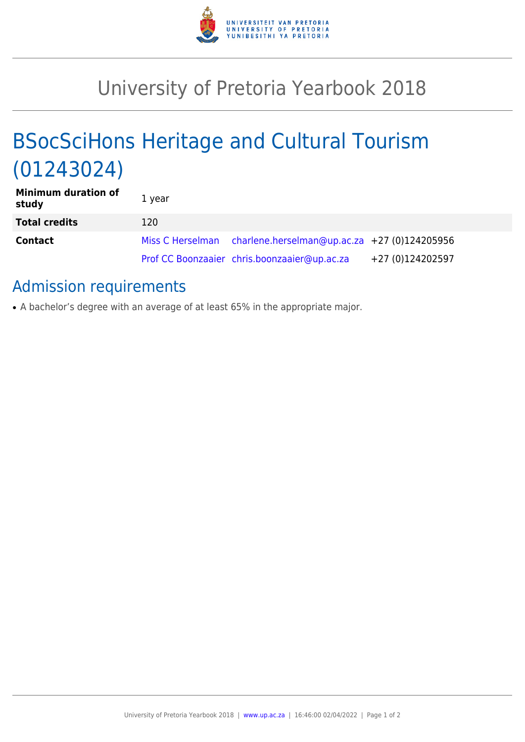

## University of Pretoria Yearbook 2018

# BSocSciHons Heritage and Cultural Tourism (01243024)

| <b>Minimum duration of</b><br>study | 1 year |                                                               |                  |
|-------------------------------------|--------|---------------------------------------------------------------|------------------|
| <b>Total credits</b>                | 120    |                                                               |                  |
| <b>Contact</b>                      |        | Miss C Herselman charlene.herselman@up.ac.za +27 (0)124205956 |                  |
|                                     |        | Prof CC Boonzaaier chris.boonzaaier@up.ac.za                  | +27 (0)124202597 |

### Admission requirements

• A bachelor's degree with an average of at least 65% in the appropriate major.